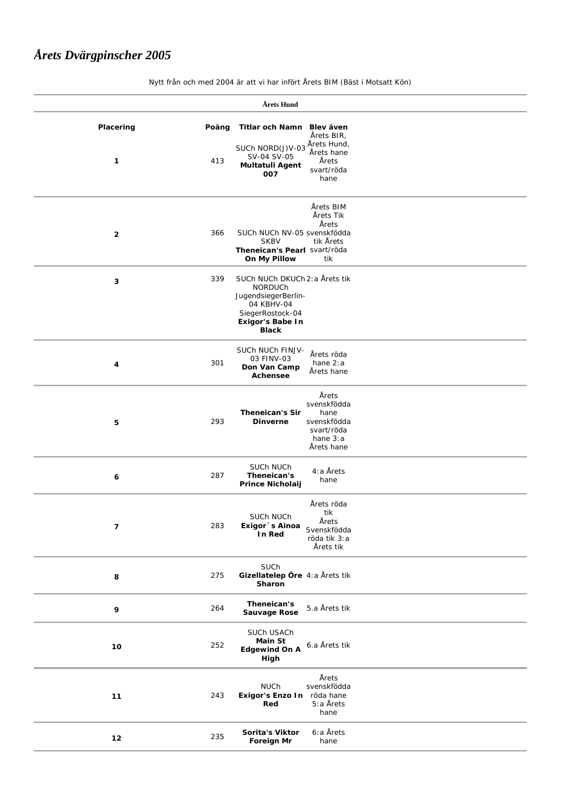## *Årets Dvärgpinscher 2005*

| Årets Hund               |              |                                                                                                                                        |                                                                                     |  |  |
|--------------------------|--------------|----------------------------------------------------------------------------------------------------------------------------------------|-------------------------------------------------------------------------------------|--|--|
| Placering<br>1           | Poäng<br>413 | Titlar och Namn<br>SUCh NORD(J)V-03<br>SV-04 SV-05<br><b>Multatuli Agent</b><br>007                                                    | Blev även<br>Årets BIR,<br>Årets Hund,<br>Årets hane<br>Årets<br>svart/röda<br>hane |  |  |
| $\mathbf{2}$             | 366          | SUCh NUCh NV-05 svenskfödda<br><b>SKBV</b><br>Theneican's Pearl svart/röda<br>On My Pillow                                             | Årets BIM<br>Årets Tik<br>Årets<br>tik Årets<br>tik                                 |  |  |
| 3                        | 339          | SUCh NUCh DKUCh 2: a Årets tik<br>NORDUCh<br>JugendsiegerBerlin-<br>04 KBHV-04<br>SiegerRostock-04<br>Exigor's Babe In<br><b>Black</b> |                                                                                     |  |  |
| 4                        | 301          | SUCh NUCh FINJV-<br>03 FINV-03<br>Don Van Camp<br>Achensee                                                                             | Årets röda<br>hane $2:a$<br>Årets hane                                              |  |  |
| 5                        | 293          | <b>Theneican's Sir</b><br><b>Dinverne</b>                                                                                              | Årets<br>svenskfödda<br>hane<br>svenskfödda<br>svart/röda<br>hane 3:a<br>Årets hane |  |  |
| 6                        | 287          | SUCh NUCh<br>Theneican's<br><b>Prince Nicholaij</b>                                                                                    | 4:a Årets<br>hane                                                                   |  |  |
| $\overline{\phantom{a}}$ | 283          | SUCh NUCh<br>Exigor 's Ainoa<br>In Red                                                                                                 | Årets röda<br>tik<br>Årets<br>Svenskfödda<br>röda tik 3:a<br>Årets tik              |  |  |
| 8                        | 275          | SUCh<br>Gizellatelep Öre 4:a Årets tik<br>Sharon                                                                                       |                                                                                     |  |  |
| 9                        | 264          | Theneican's<br><b>Sauvage Rose</b>                                                                                                     | 5.a Årets tik                                                                       |  |  |
| 10                       | 252          | SUCh USACh<br><b>Main St</b><br><b>Edgewind On A</b><br>High                                                                           | 6.a Årets tik                                                                       |  |  |
| $11$                     | 243          | <b>NUCh</b><br>Exigor's Enzo In röda hane<br>Red                                                                                       | Årets<br>svenskfödda<br>5:a Årets<br>hane                                           |  |  |
| $12$                     | 235          | Sorita's Viktor<br><b>Foreign Mr</b>                                                                                                   | 6:a Årets<br>hane                                                                   |  |  |
|                          |              |                                                                                                                                        |                                                                                     |  |  |

Nytt från och med 2004 är att vi har infört Årets BIM (Bäst i Motsatt Kön)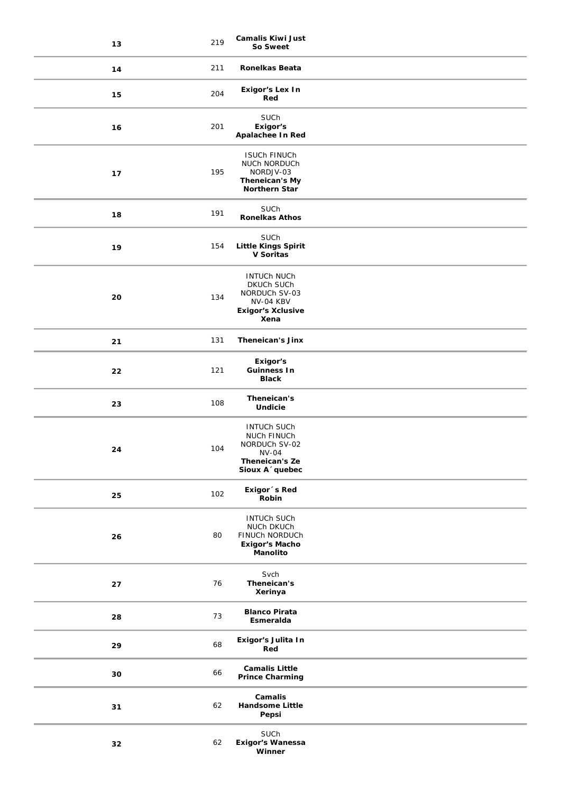| 13 | 219 | <b>Camalis Kiwi Just</b><br>So Sweet                                                                                |
|----|-----|---------------------------------------------------------------------------------------------------------------------|
| 14 | 211 | <b>Ronelkas Beata</b>                                                                                               |
| 15 | 204 | Exigor's Lex In<br>Red                                                                                              |
| 16 | 201 | SUCh<br>Exigor's<br>Apalachee In Red                                                                                |
| 17 | 195 | <b>ISUCH FINUCH</b><br>NUCh NORDUCh<br>NORDJV-03<br>Theneican's My<br>Northern Star                                 |
| 18 | 191 | SUCh<br><b>Ronelkas Athos</b>                                                                                       |
| 19 | 154 | SUCh<br><b>Little Kings Spirit</b><br>V Soritas                                                                     |
| 20 | 134 | <b>INTUCH NUCH</b><br>DKUCh SUCh<br>NORDUCh SV-03<br>NV-04 KBV<br><b>Exigor's Xclusive</b><br>Xena                  |
| 21 | 131 | <b>Theneican's Jinx</b>                                                                                             |
| 22 | 121 | Exigor's<br><b>Guinness In</b><br><b>Black</b>                                                                      |
| 23 | 108 | Theneican's<br>Undicie                                                                                              |
| 24 | 104 | <b>INTUCH SUCH</b><br>NUCh FINUCh<br>NORDUCh SV-02<br><b>NV-04</b><br>Theneican's Ze<br>Sioux A <sup>o</sup> quebec |
| 25 | 102 | Exigor 's Red<br>Robin                                                                                              |
| 26 | 80  | <b>INTUCH SUCH</b><br>NUCh DKUCh<br>FINUCh NORDUCh<br><b>Exigor's Macho</b><br>Manolito                             |
| 27 | 76  | Svch<br>Theneican's<br>Xerinya                                                                                      |
| 28 | 73  | <b>Blanco Pirata</b><br>Esmeralda                                                                                   |
| 29 | 68  | Exigor's Julita In<br>Red                                                                                           |
| 30 | 66  | <b>Camalis Little</b><br><b>Prince Charming</b>                                                                     |
| 31 | 62  | Camalis<br>Handsome Little<br>Pepsi                                                                                 |
| 32 | 62  | <b>SUCh</b><br><b>Exigor's Wanessa</b><br>Winner                                                                    |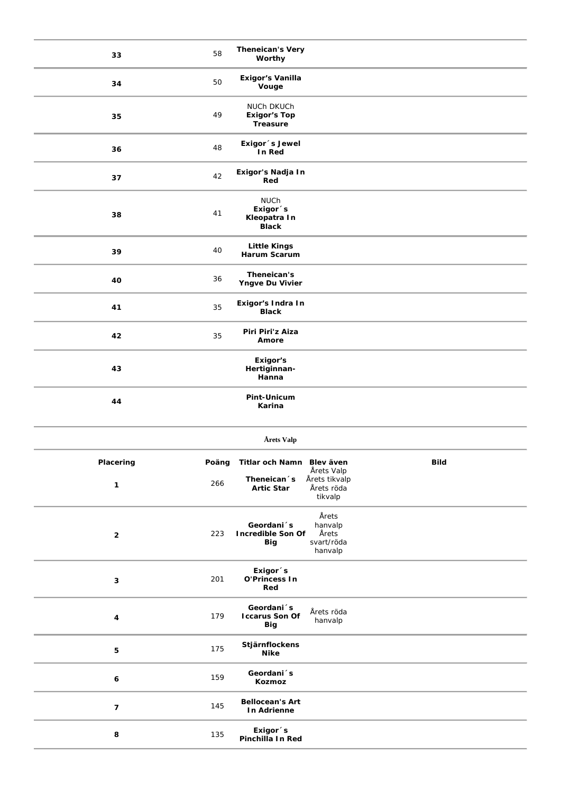| 33               | 58           | <b>Theneican's Very</b><br>Worthy                                  |                                                      |             |
|------------------|--------------|--------------------------------------------------------------------|------------------------------------------------------|-------------|
| 34               | 50           | Exigor's Vanilla<br>Vouge                                          |                                                      |             |
| 35               | 49           | NUCh DKUCh<br><b>Exigor's Top</b><br>Treasure                      |                                                      |             |
| 36               | 48           | Exigor 's Jewel<br>In Red                                          |                                                      |             |
| 37               | 42           | Exigor's Nadja In<br>Red                                           |                                                      |             |
| 38               | 41           | <b>NUCh</b><br>Exigor <sup>s</sup><br>Kleopatra In<br><b>Black</b> |                                                      |             |
| 39               | 40           | <b>Little Kings</b><br>Harum Scarum                                |                                                      |             |
| 40               | 36           | Theneican's<br>Yngve Du Vivier                                     |                                                      |             |
| 41               | 35           | Exigor's Indra In<br><b>Black</b>                                  |                                                      |             |
| 42               | 35           | Piri Piri'z Aiza<br>Amore                                          |                                                      |             |
| 43               |              | Exigor's<br>Hertiginnan-<br>Hanna                                  |                                                      |             |
| 44               |              | Pint-Unicum<br>Karina                                              |                                                      |             |
|                  |              |                                                                    |                                                      |             |
|                  |              | Årets Valp                                                         |                                                      |             |
| Placering        |              | Titlar och Namn Blev även                                          |                                                      | <b>Bild</b> |
| 1                | Poäng<br>266 | Theneican <sup>s</sup><br><b>Artic Star</b>                        | Årets Valp<br>Årets tikvalp<br>Årets röda<br>tikvalp |             |
| $\overline{2}$   | 223          | Geordani <sup>s</sup><br><b>Incredible Son Of</b><br><b>Big</b>    | Årets<br>hanvalp<br>Årets<br>svart/röda<br>hanvalp   |             |
| 3                | 201          | Exigor <sup>s</sup><br>O'Princess In<br>Red                        |                                                      |             |
| 4                | 179          | Geordani <sup>s</sup><br><b>Iccarus Son Of</b><br>Big              | Årets röda<br>hanvalp                                |             |
| 5                | 175          | Stjärnflockens<br><b>Nike</b>                                      |                                                      |             |
| 6                | 159          | Geordani <sup>s</sup><br>Kozmoz                                    |                                                      |             |
| $\boldsymbol{7}$ | 145          | <b>Bellocean's Art</b><br>In Adrienne                              |                                                      |             |
| 8                | 135          | Exigor <sup>s</sup><br>Pinchilla In Red                            |                                                      |             |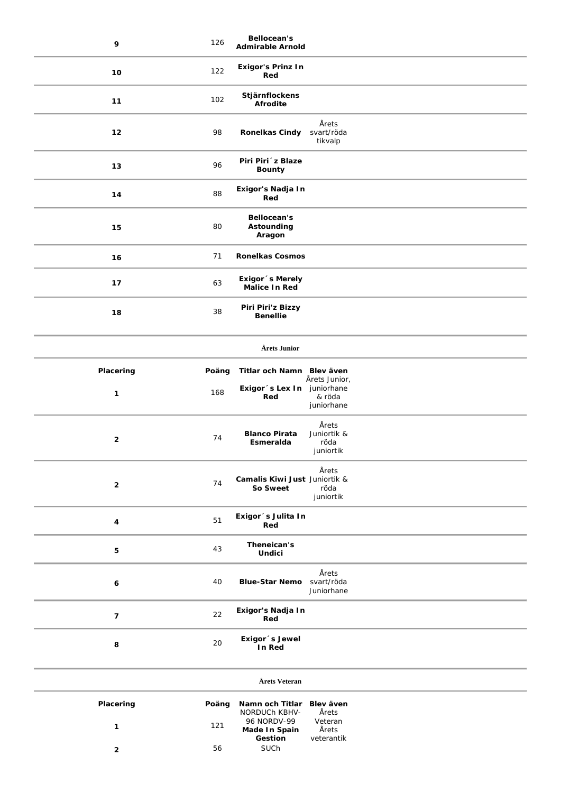| 9                       | 126   | Bellocean's<br><b>Admirable Arnold</b>          |                                           |
|-------------------------|-------|-------------------------------------------------|-------------------------------------------|
| 10                      | 122   | <b>Exigor's Prinz In</b><br>Red                 |                                           |
| 11                      | 102   | Stjärnflockens<br>Afrodite                      |                                           |
| 12                      | 98    | <b>Ronelkas Cindy</b>                           | Årets<br>svart/röda<br>tikvalp            |
| 13                      | 96    | Piri Piri ´z Blaze<br><b>Bounty</b>             |                                           |
| 14                      | 88    | Exigor's Nadja In<br>Red                        |                                           |
| 15                      | 80    | <b>Bellocean's</b><br>Astounding<br>Aragon      |                                           |
| 16                      | 71    | <b>Ronelkas Cosmos</b>                          |                                           |
| 17                      | 63    | Exigor 's Merely<br><b>Malice In Red</b>        |                                           |
| 18                      | 38    | Piri Piri'z Bizzy<br><b>Benellie</b>            |                                           |
|                         |       | Årets Junior                                    |                                           |
| Placering               | Poäng | Titlar och Namn Blev även                       |                                           |
| 1                       | 168   | Exigor 's Lex In juniorhane<br>Red              | Årets Junior,<br>& röda<br>juniorhane     |
| $\mathbf{2}$            | 74    | <b>Blanco Pirata</b><br>Esmeralda               | Årets<br>Juniortik &<br>röda<br>juniortik |
| $\mathbf{2}$            | 74    | Camalis Kiwi Just Juniortik &<br>So Sweet       | Årets<br>röda<br>juniortik                |
| 4                       | 51    | Exigor 's Julita In<br>Red                      |                                           |
| 5                       | 43    | Theneican's<br><b>Undici</b>                    |                                           |
| 6                       | 40    | <b>Blue-Star Nemo</b>                           | Årets<br>svart/röda<br>Juniorhane         |
| $\overline{\mathbf{z}}$ | 22    | Exigor's Nadja In<br>Red                        |                                           |
| 8                       | 20    | Exigor 's Jewel<br>In Red                       |                                           |
|                         |       | Årets Veteran                                   |                                           |
| Placering               | Poäng | Namn och Titlar<br><b>NORDUCH KBHV-</b>         | Blev även<br>Årets                        |
| $\mathbf{1}$            | 121   | 96 NORDV-99<br>Made In Spain<br>Gestion<br>SUCh | Veteran<br>Årets<br>veterantik            |
| $\overline{2}$          | 56    |                                                 |                                           |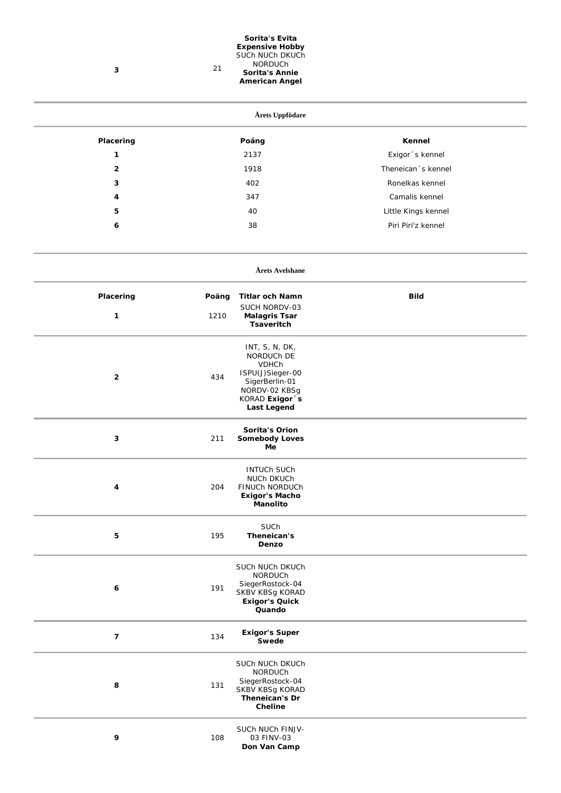| 3                | 21    | Sorita's Evita<br><b>Expensive Hobby</b><br>SUCh NUCh DKUCh<br>NORDUCh<br>Sorita's Annie<br><b>American Angel</b>                            |                     |  |
|------------------|-------|----------------------------------------------------------------------------------------------------------------------------------------------|---------------------|--|
|                  |       | Årets Uppfödare                                                                                                                              |                     |  |
| Placering        |       | Poäng                                                                                                                                        | Kennel              |  |
| $\mathbf{1}$     |       | 2137                                                                                                                                         | Exigor 's kennel    |  |
| $\overline{2}$   |       | 1918                                                                                                                                         | Theneican 's kennel |  |
| 3                |       | 402                                                                                                                                          | Ronelkas kennel     |  |
| 4                |       | 347                                                                                                                                          | Camalis kennel      |  |
| 5                |       | 40                                                                                                                                           | Little Kings kennel |  |
| 6                |       | 38                                                                                                                                           | Piri Piri'z kennel  |  |
|                  |       | Årets Avelshane                                                                                                                              |                     |  |
| Placering        | Poäng | <b>Titlar och Namn</b>                                                                                                                       | <b>Bild</b>         |  |
| $\mathbf{1}$     | 1210  | SUCH NORDV-03<br><b>Malagris Tsar</b><br><b>Tsaveritch</b>                                                                                   |                     |  |
| $\overline{2}$   | 434   | INT, S, N, DK,<br>NORDUCh DE<br><b>VDHCh</b><br>ISPU(J)Sieger-00<br>SigerBerlin-01<br>NORDV-02 KBSg<br>KORAD Exigor 's<br><b>Last Legend</b> |                     |  |
| 3                | 211   | Sorita's Orion<br><b>Somebody Loves</b><br>Me                                                                                                |                     |  |
| $\boldsymbol{4}$ | 204   | <b>INTUCH SUCH</b><br>NUCh DKUCh<br>FINUCh NORDUCh<br><b>Exigor's Macho</b><br><b>Manolito</b>                                               |                     |  |
| 5                | 195   | SUCh<br>Theneican's<br>Denzo                                                                                                                 |                     |  |
| 6                | 191   | SUCh NUCh DKUCh<br>NORDUCh<br>SiegerRostock-04<br>SKBV KBSg KORAD<br><b>Exigor's Quick</b><br>Quando                                         |                     |  |
| $\overline{7}$   | 134   | <b>Exigor's Super</b><br>Swede                                                                                                               |                     |  |
| 8                | 131   | SUCh NUCh DKUCh<br>NORDUCh<br>SiegerRostock-04<br>SKBV KBSg KORAD<br>Theneican's Dr<br>Cheline                                               |                     |  |
| 9                | 108   | SUCh NUCh FINJV-<br>03 FINV-03<br>Don Van Camp                                                                                               |                     |  |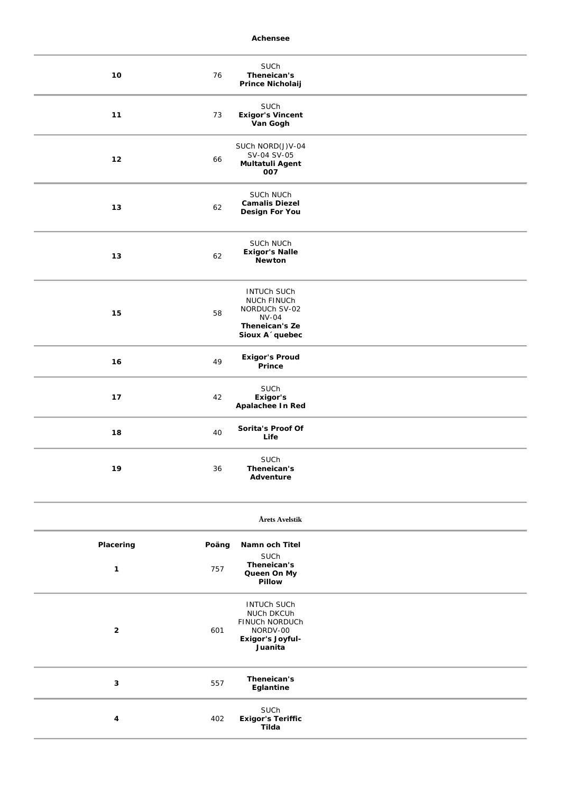**Achensee**

| $10$                      | 76           | SUCh<br>Theneican's<br>Prince Nicholaij                                                                 |  |
|---------------------------|--------------|---------------------------------------------------------------------------------------------------------|--|
| 11                        | 73           | SUCh<br><b>Exigor's Vincent</b><br>Van Gogh                                                             |  |
| 12                        | 66           | SUCh NORD(J)V-04<br>SV-04 SV-05<br>Multatuli Agent<br>007                                               |  |
| $13$                      | 62           | SUCh NUCh<br><b>Camalis Diezel</b><br>Design For You                                                    |  |
| $13$                      | 62           | SUCh NUCh<br><b>Exigor's Nalle</b><br>Newton                                                            |  |
| 15                        | 58           | <b>INTUCH SUCH</b><br>NUCh FINUCh<br>NORDUCh SV-02<br><b>NV-04</b><br>Theneican's Ze<br>Sioux A 'quebec |  |
| 16                        | 49           | <b>Exigor's Proud</b><br>Prince                                                                         |  |
| 17                        | 42           | SUCh<br>Exigor's<br>Apalachee In Red                                                                    |  |
| ${\bf 18}$                | 40           | Sorita's Proof Of<br>Life                                                                               |  |
| 19                        | 36           | SUCh<br>Theneican's<br>Adventure                                                                        |  |
|                           |              | Årets Avelstik                                                                                          |  |
| Placering<br>$\mathbf{1}$ | Poäng<br>757 | Namn och Titel<br>SUCh<br>Theneican's<br>Queen On My<br>Pillow                                          |  |
| $\mathbf{2}$              | 601          | <b>INTUCH SUCH</b><br>NUCh DKCUh<br>FINUCh NORDUCh<br>NORDV-00<br>Exigor's Joyful-<br>Juanita           |  |
| 3                         | 557          | Theneican's<br>Eglantine                                                                                |  |
| 4                         | 402          | SUCh<br><b>Exigor's Teriffic</b><br>Tilda                                                               |  |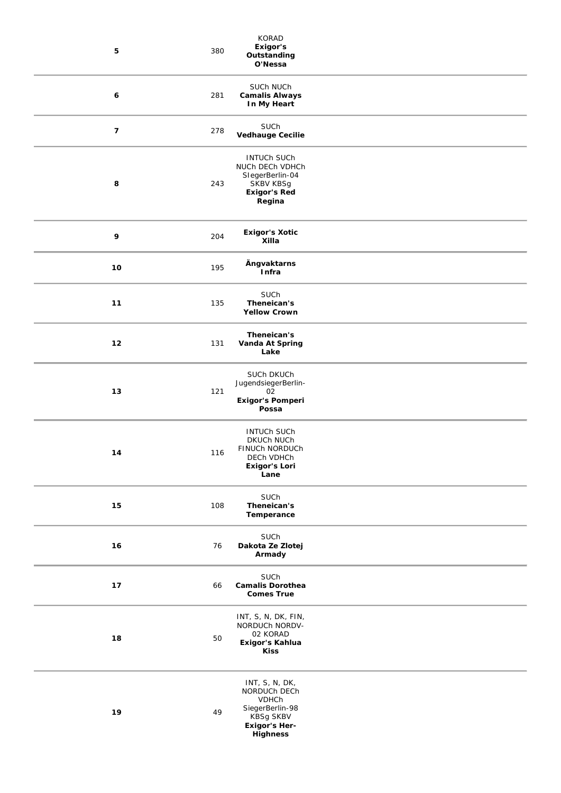| ${\bf 5}$        | 380 | KORAD<br>Exigor's<br>Outstanding<br>O'Nessa                                                                                      |
|------------------|-----|----------------------------------------------------------------------------------------------------------------------------------|
| 6                | 281 | SUCh NUCh<br><b>Camalis Always</b><br>In My Heart                                                                                |
| $\boldsymbol{7}$ | 278 | SUCh<br><b>Vedhauge Cecilie</b>                                                                                                  |
| 8                | 243 | <b>INTUCH SUCH</b><br>NUCh DECh VDHCh<br>SlegerBerlin-04<br>SKBV KBSg<br><b>Exigor's Red</b><br>Regina                           |
| 9                | 204 | <b>Exigor's Xotic</b><br>Xilla                                                                                                   |
| $10$             | 195 | Ängvaktarns<br>Infra                                                                                                             |
| $11$             | 135 | SUCh<br>Theneican's<br><b>Yellow Crown</b>                                                                                       |
| $12$             | 131 | Theneican's<br>Vanda At Spring<br>Lake                                                                                           |
| 13               | 121 | SUCh DKUCh<br>JugendsiegerBerlin-<br>02<br>Exigor's Pomperi<br>Possa                                                             |
| 14               | 116 | <b>INTUCH SUCH</b><br><b>DKUCH NUCH</b><br>FINUCh NORDUCh<br>DECh VDHCh<br><b>Exigor's Lori</b><br>Lane                          |
| 15               | 108 | SUCh<br>Theneican's<br>Temperance                                                                                                |
| 16               | 76  | SUCh<br>Dakota Ze Zlotej<br>Armady                                                                                               |
| $17$             | 66  | SUCh<br><b>Camalis Dorothea</b><br><b>Comes True</b>                                                                             |
| 18               | 50  | INT, S, N, DK, FIN,<br>NORDUCh NORDV-<br>02 KORAD<br>Exigor's Kahlua<br><b>Kiss</b>                                              |
| 19               | 49  | INT, S, N, DK,<br>NORDUCh DECh<br><b>VDHCh</b><br>SiegerBerlin-98<br><b>KBSg SKBV</b><br><b>Exigor's Her-</b><br><b>Highness</b> |